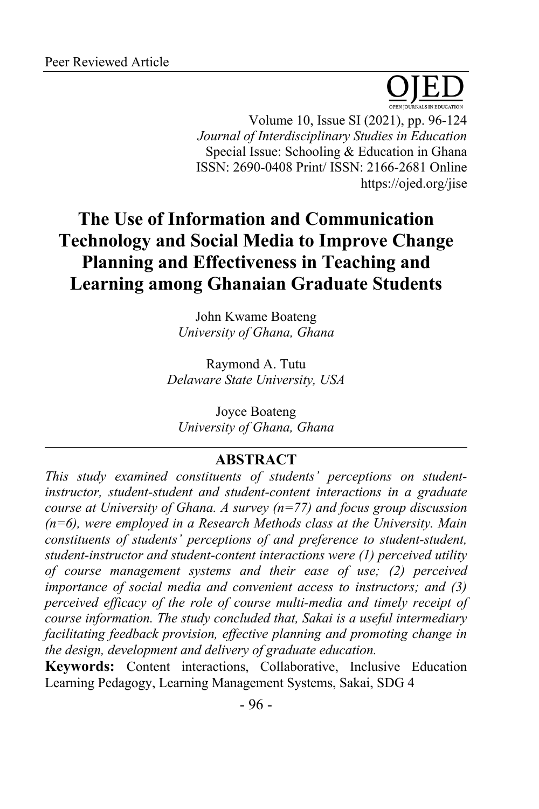

Volume 10, Issue SI (2021), pp. 96-124 *Journal of Interdisciplinary Studies in Education* Special Issue: Schooling & Education in Ghana ISSN: 2690-0408 Print/ ISSN: 2166-2681 Online https://ojed.org/jise

# **The Use of Information and Communication Technology and Social Media to Improve Change Planning and Effectiveness in Teaching and Learning among Ghanaian Graduate Students**

John Kwame Boateng *University of Ghana, Ghana*

Raymond A. Tutu *Delaware State University, USA*

Joyce Boateng *University of Ghana, Ghana*

# **ABSTRACT**

*This study examined constituents of students' perceptions on studentinstructor, student-student and student-content interactions in a graduate course at University of Ghana. A survey (n=77) and focus group discussion (n=6), were employed in a Research Methods class at the University. Main constituents of students' perceptions of and preference to student-student, student-instructor and student-content interactions were (1) perceived utility of course management systems and their ease of use; (2) perceived importance of social media and convenient access to instructors; and (3) perceived efficacy of the role of course multi-media and timely receipt of course information. The study concluded that, Sakai is a useful intermediary facilitating feedback provision, effective planning and promoting change in the design, development and delivery of graduate education.*

**Keywords:** Content interactions, Collaborative, Inclusive Education Learning Pedagogy, Learning Management Systems, Sakai, SDG 4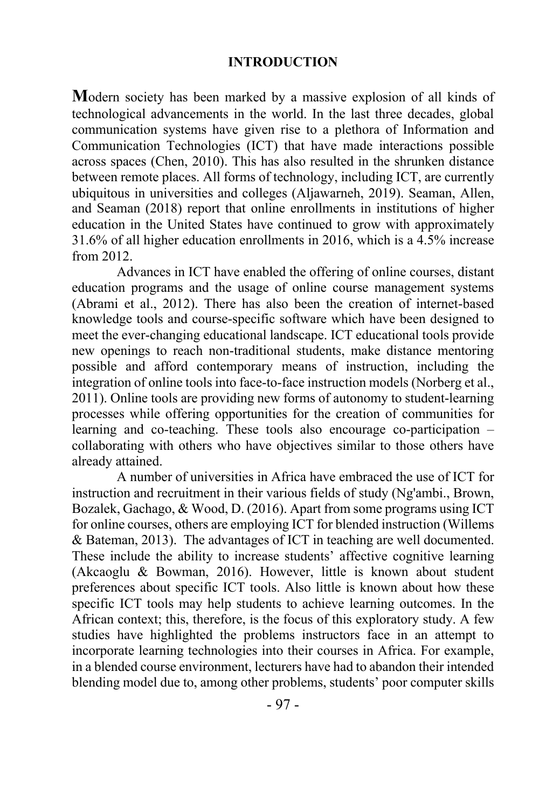#### **INTRODUCTION**

**M**odern society has been marked by a massive explosion of all kinds of technological advancements in the world. In the last three decades, global communication systems have given rise to a plethora of Information and Communication Technologies (ICT) that have made interactions possible across spaces (Chen, 2010). This has also resulted in the shrunken distance between remote places. All forms of technology, including ICT, are currently ubiquitous in universities and colleges (Aljawarneh, 2019). Seaman, Allen, and Seaman (2018) report that online enrollments in institutions of higher education in the United States have continued to grow with approximately 31.6% of all higher education enrollments in 2016, which is a 4.5% increase from 2012.

Advances in ICT have enabled the offering of online courses, distant education programs and the usage of online course management systems (Abrami et al., 2012). There has also been the creation of internet-based knowledge tools and course-specific software which have been designed to meet the ever-changing educational landscape. ICT educational tools provide new openings to reach non-traditional students, make distance mentoring possible and afford contemporary means of instruction, including the integration of online tools into face-to-face instruction models (Norberg et al., 2011). Online tools are providing new forms of autonomy to student-learning processes while offering opportunities for the creation of communities for learning and co-teaching. These tools also encourage co-participation – collaborating with others who have objectives similar to those others have already attained.

A number of universities in Africa have embraced the use of ICT for instruction and recruitment in their various fields of study (Ng'ambi., Brown, Bozalek, Gachago, & Wood, D. (2016). Apart from some programs using ICT for online courses, others are employing ICT for blended instruction (Willems & Bateman, 2013). The advantages of ICT in teaching are well documented. These include the ability to increase students' affective cognitive learning (Akcaoglu & Bowman, 2016). However, little is known about student preferences about specific ICT tools. Also little is known about how these specific ICT tools may help students to achieve learning outcomes. In the African context; this, therefore, is the focus of this exploratory study. A few studies have highlighted the problems instructors face in an attempt to incorporate learning technologies into their courses in Africa. For example, in a blended course environment, lecturers have had to abandon their intended blending model due to, among other problems, students' poor computer skills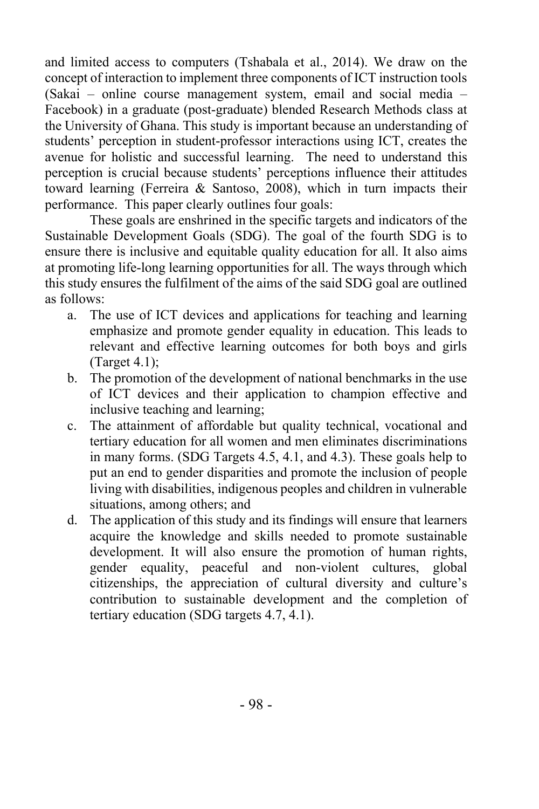and limited access to computers (Tshabala et al., 2014). We draw on the concept of interaction to implement three components of ICT instruction tools (Sakai – online course management system, email and social media – Facebook) in a graduate (post-graduate) blended Research Methods class at the University of Ghana. This study is important because an understanding of students' perception in student-professor interactions using ICT, creates the avenue for holistic and successful learning. The need to understand this perception is crucial because students' perceptions influence their attitudes toward learning (Ferreira & Santoso, 2008), which in turn impacts their performance. This paper clearly outlines four goals:

These goals are enshrined in the specific targets and indicators of the Sustainable Development Goals (SDG). The goal of the fourth SDG is to ensure there is inclusive and equitable quality education for all. It also aims at promoting life-long learning opportunities for all. The ways through which this study ensures the fulfilment of the aims of the said SDG goal are outlined as follows:

- a. The use of ICT devices and applications for teaching and learning emphasize and promote gender equality in education. This leads to relevant and effective learning outcomes for both boys and girls (Target 4.1);
- b. The promotion of the development of national benchmarks in the use of ICT devices and their application to champion effective and inclusive teaching and learning;
- c. The attainment of affordable but quality technical, vocational and tertiary education for all women and men eliminates discriminations in many forms. (SDG Targets 4.5, 4.1, and 4.3). These goals help to put an end to gender disparities and promote the inclusion of people living with disabilities, indigenous peoples and children in vulnerable situations, among others; and
- d. The application of this study and its findings will ensure that learners acquire the knowledge and skills needed to promote sustainable development. It will also ensure the promotion of human rights, gender equality, peaceful and non-violent cultures, global citizenships, the appreciation of cultural diversity and culture's contribution to sustainable development and the completion of tertiary education (SDG targets 4.7, 4.1).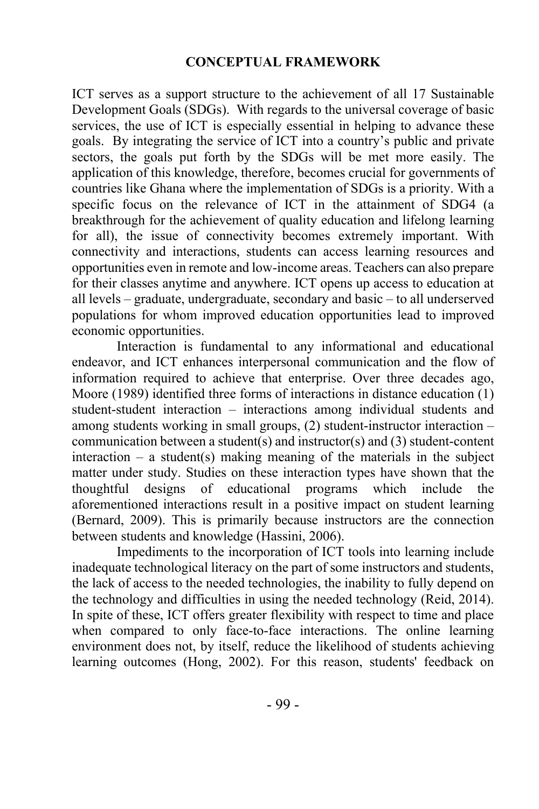#### **CONCEPTUAL FRAMEWORK**

ICT serves as a support structure to the achievement of all 17 Sustainable Development Goals (SDGs). With regards to the universal coverage of basic services, the use of ICT is especially essential in helping to advance these goals. By integrating the service of ICT into a country's public and private sectors, the goals put forth by the SDGs will be met more easily. The application of this knowledge, therefore, becomes crucial for governments of countries like Ghana where the implementation of SDGs is a priority. With a specific focus on the relevance of ICT in the attainment of SDG4 (a breakthrough for the achievement of quality education and lifelong learning for all), the issue of connectivity becomes extremely important. With connectivity and interactions, students can access learning resources and opportunities even in remote and low-income areas. Teachers can also prepare for their classes anytime and anywhere. ICT opens up access to education at all levels – graduate, undergraduate, secondary and basic – to all underserved populations for whom improved education opportunities lead to improved economic opportunities.

Interaction is fundamental to any informational and educational endeavor, and ICT enhances interpersonal communication and the flow of information required to achieve that enterprise. Over three decades ago, Moore (1989) identified three forms of interactions in distance education (1) student-student interaction – interactions among individual students and among students working in small groups, (2) student-instructor interaction – communication between a student(s) and instructor(s) and (3) student-content interaction – a student(s) making meaning of the materials in the subject matter under study. Studies on these interaction types have shown that the thoughtful designs of educational programs which include the aforementioned interactions result in a positive impact on student learning (Bernard, 2009). This is primarily because instructors are the connection between students and knowledge (Hassini, 2006).

Impediments to the incorporation of ICT tools into learning include inadequate technological literacy on the part of some instructors and students, the lack of access to the needed technologies, the inability to fully depend on the technology and difficulties in using the needed technology (Reid, 2014). In spite of these, ICT offers greater flexibility with respect to time and place when compared to only face-to-face interactions. The online learning environment does not, by itself, reduce the likelihood of students achieving learning outcomes (Hong, 2002). For this reason, students' feedback on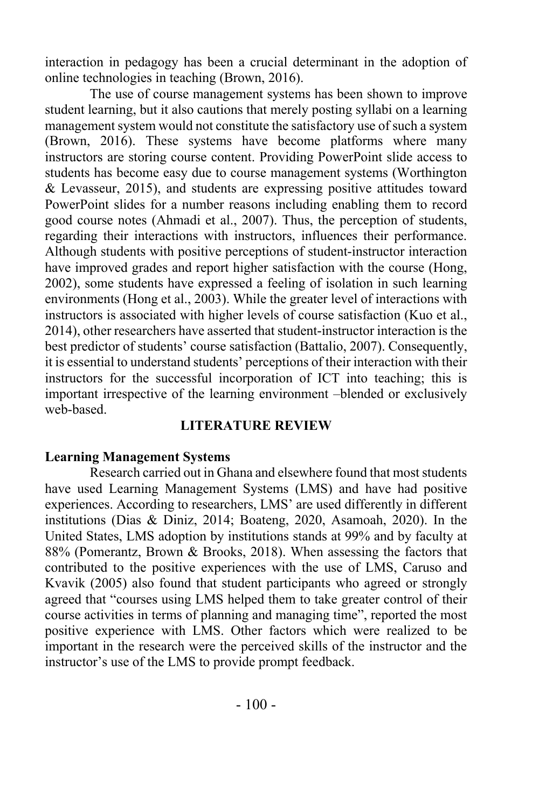interaction in pedagogy has been a crucial determinant in the adoption of online technologies in teaching (Brown, 2016).

The use of course management systems has been shown to improve student learning, but it also cautions that merely posting syllabi on a learning management system would not constitute the satisfactory use of such a system (Brown, 2016). These systems have become platforms where many instructors are storing course content. Providing PowerPoint slide access to students has become easy due to course management systems (Worthington & Levasseur, 2015), and students are expressing positive attitudes toward PowerPoint slides for a number reasons including enabling them to record good course notes (Ahmadi et al., 2007). Thus, the perception of students, regarding their interactions with instructors, influences their performance. Although students with positive perceptions of student-instructor interaction have improved grades and report higher satisfaction with the course (Hong, 2002), some students have expressed a feeling of isolation in such learning environments (Hong et al., 2003). While the greater level of interactions with instructors is associated with higher levels of course satisfaction (Kuo et al., 2014), other researchers have asserted that student-instructor interaction is the best predictor of students' course satisfaction (Battalio, 2007). Consequently, it is essential to understand students' perceptions of their interaction with their instructors for the successful incorporation of ICT into teaching; this is important irrespective of the learning environment –blended or exclusively web-based.

## **LITERATURE REVIEW**

#### **Learning Management Systems**

Research carried out in Ghana and elsewhere found that most students have used Learning Management Systems (LMS) and have had positive experiences. According to researchers, LMS' are used differently in different institutions (Dias & Diniz, 2014; Boateng, 2020, Asamoah, 2020). In the United States, LMS adoption by institutions stands at 99% and by faculty at 88% (Pomerantz, Brown & Brooks, 2018). When assessing the factors that contributed to the positive experiences with the use of LMS, Caruso and Kvavik (2005) also found that student participants who agreed or strongly agreed that "courses using LMS helped them to take greater control of their course activities in terms of planning and managing time", reported the most positive experience with LMS. Other factors which were realized to be important in the research were the perceived skills of the instructor and the instructor's use of the LMS to provide prompt feedback.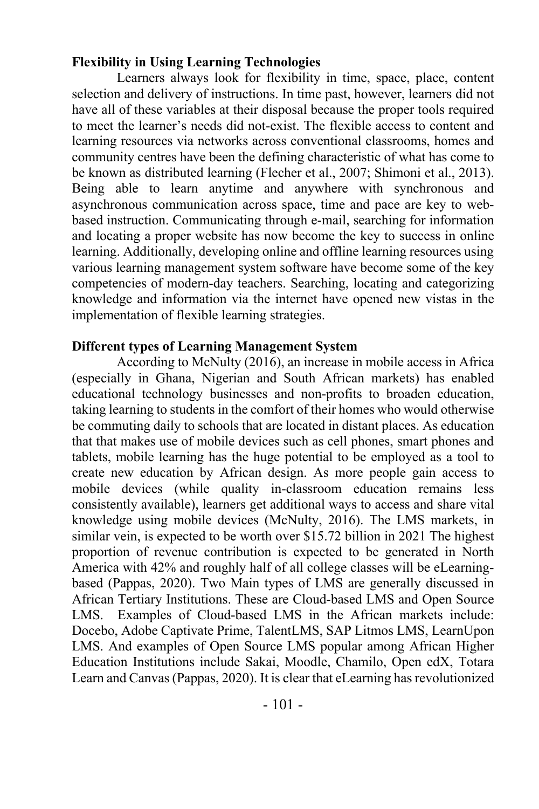#### **Flexibility in Using Learning Technologies**

Learners always look for flexibility in time, space, place, content selection and delivery of instructions. In time past, however, learners did not have all of these variables at their disposal because the proper tools required to meet the learner's needs did not-exist. The flexible access to content and learning resources via networks across conventional classrooms, homes and community centres have been the defining characteristic of what has come to be known as distributed learning (Flecher et al., 2007; Shimoni et al., 2013). Being able to learn anytime and anywhere with synchronous and asynchronous communication across space, time and pace are key to webbased instruction. Communicating through e-mail, searching for information and locating a proper website has now become the key to success in online learning. Additionally, developing online and offline learning resources using various learning management system software have become some of the key competencies of modern-day teachers. Searching, locating and categorizing knowledge and information via the internet have opened new vistas in the implementation of flexible learning strategies.

## **Different types of Learning Management System**

According to McNulty (2016), an increase in mobile access in Africa (especially in Ghana, Nigerian and South African markets) has enabled educational technology businesses and non-profits to broaden education, taking learning to students in the comfort of their homes who would otherwise be commuting daily to schools that are located in distant places. As education that that makes use of mobile devices such as cell phones, smart phones and tablets, mobile learning has the huge potential to be employed as a tool to create new education by African design. As more people gain access to mobile devices (while quality in-classroom education remains less consistently available), learners get additional ways to access and share vital knowledge using mobile devices (McNulty, 2016). The LMS markets, in similar vein, is expected to be worth over \$15.72 billion in 2021 The highest proportion of revenue contribution is expected to be generated in North America with 42% and roughly half of all college classes will be eLearningbased (Pappas, 2020). Two Main types of LMS are generally discussed in African Tertiary Institutions. These are Cloud-based LMS and Open Source LMS. Examples of Cloud-based LMS in the African markets include: Docebo, Adobe Captivate Prime, TalentLMS, SAP Litmos LMS, LearnUpon LMS. And examples of Open Source LMS popular among African Higher Education Institutions include Sakai, Moodle, Chamilo, Open edX, Totara Learn and Canvas(Pappas, 2020). It is clear that eLearning has revolutionized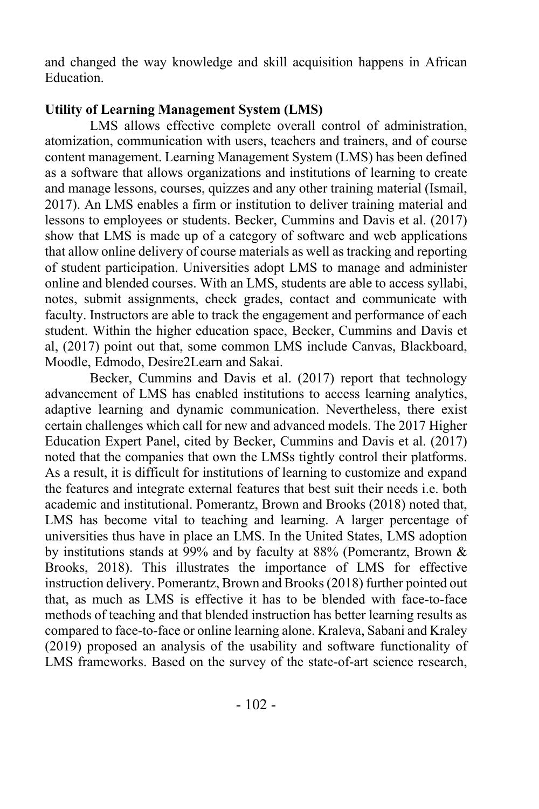and changed the way knowledge and skill acquisition happens in African Education.

## **Utility of Learning Management System (LMS)**

LMS allows effective complete overall control of administration, atomization, communication with users, teachers and trainers, and of course content management. Learning Management System (LMS) has been defined as a software that allows organizations and institutions of learning to create and manage lessons, courses, quizzes and any other training material (Ismail, 2017). An LMS enables a firm or institution to deliver training material and lessons to employees or students. Becker, Cummins and Davis et al. (2017) show that LMS is made up of a category of software and web applications that allow online delivery of course materials as well as tracking and reporting of student participation. Universities adopt LMS to manage and administer online and blended courses. With an LMS, students are able to access syllabi, notes, submit assignments, check grades, contact and communicate with faculty. Instructors are able to track the engagement and performance of each student. Within the higher education space, Becker, Cummins and Davis et al, (2017) point out that, some common LMS include Canvas, Blackboard, Moodle, Edmodo, Desire2Learn and Sakai.

Becker, Cummins and Davis et al. (2017) report that technology advancement of LMS has enabled institutions to access learning analytics, adaptive learning and dynamic communication. Nevertheless, there exist certain challenges which call for new and advanced models. The 2017 Higher Education Expert Panel, cited by Becker, Cummins and Davis et al. (2017) noted that the companies that own the LMSs tightly control their platforms. As a result, it is difficult for institutions of learning to customize and expand the features and integrate external features that best suit their needs i.e. both academic and institutional. Pomerantz, Brown and Brooks (2018) noted that, LMS has become vital to teaching and learning. A larger percentage of universities thus have in place an LMS. In the United States, LMS adoption by institutions stands at 99% and by faculty at 88% (Pomerantz, Brown & Brooks, 2018). This illustrates the importance of LMS for effective instruction delivery. Pomerantz, Brown and Brooks (2018) further pointed out that, as much as LMS is effective it has to be blended with face-to-face methods of teaching and that blended instruction has better learning results as compared to face-to-face or online learning alone. Kraleva, Sabani and Kraley (2019) proposed an analysis of the usability and software functionality of LMS frameworks. Based on the survey of the state-of-art science research,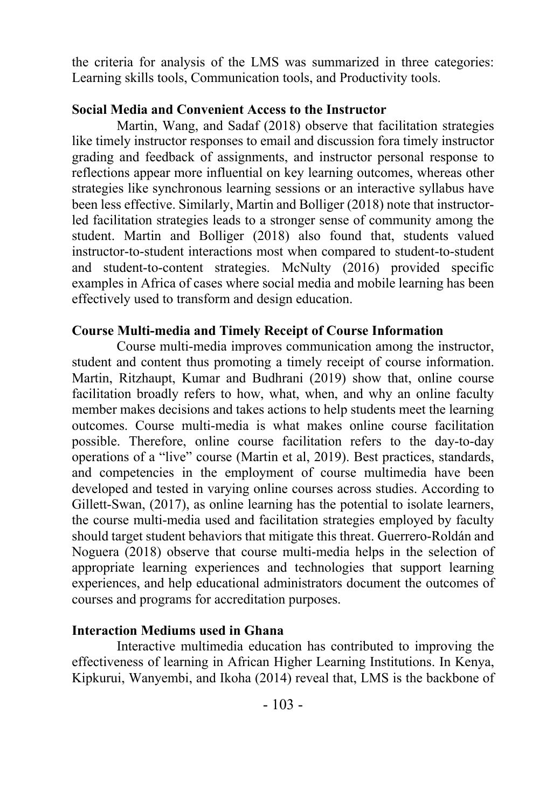the criteria for analysis of the LMS was summarized in three categories: Learning skills tools, Communication tools, and Productivity tools.

## **Social Media and Convenient Access to the Instructor**

Martin, Wang, and Sadaf (2018) observe that facilitation strategies like timely instructor responses to email and discussion fora timely instructor grading and feedback of assignments, and instructor personal response to reflections appear more influential on key learning outcomes, whereas other strategies like synchronous learning sessions or an interactive syllabus have been less effective. Similarly, Martin and Bolliger (2018) note that instructorled facilitation strategies leads to a stronger sense of community among the student. Martin and Bolliger (2018) also found that, students valued instructor-to-student interactions most when compared to student-to-student and student-to-content strategies. McNulty (2016) provided specific examples in Africa of cases where social media and mobile learning has been effectively used to transform and design education.

# **Course Multi-media and Timely Receipt of Course Information**

Course multi-media improves communication among the instructor, student and content thus promoting a timely receipt of course information. Martin, Ritzhaupt, Kumar and Budhrani (2019) show that, online course facilitation broadly refers to how, what, when, and why an online faculty member makes decisions and takes actions to help students meet the learning outcomes. Course multi-media is what makes online course facilitation possible. Therefore, online course facilitation refers to the day-to-day operations of a "live" course (Martin et al, 2019). Best practices, standards, and competencies in the employment of course multimedia have been developed and tested in varying online courses across studies. According to Gillett-Swan, (2017), as online learning has the potential to isolate learners, the course multi-media used and facilitation strategies employed by faculty should target student behaviors that mitigate this threat. Guerrero-Roldán and Noguera (2018) observe that course multi-media helps in the selection of appropriate learning experiences and technologies that support learning experiences, and help educational administrators document the outcomes of courses and programs for accreditation purposes.

## **Interaction Mediums used in Ghana**

Interactive multimedia education has contributed to improving the effectiveness of learning in African Higher Learning Institutions. In Kenya, Kipkurui, Wanyembi, and Ikoha (2014) reveal that, LMS is the backbone of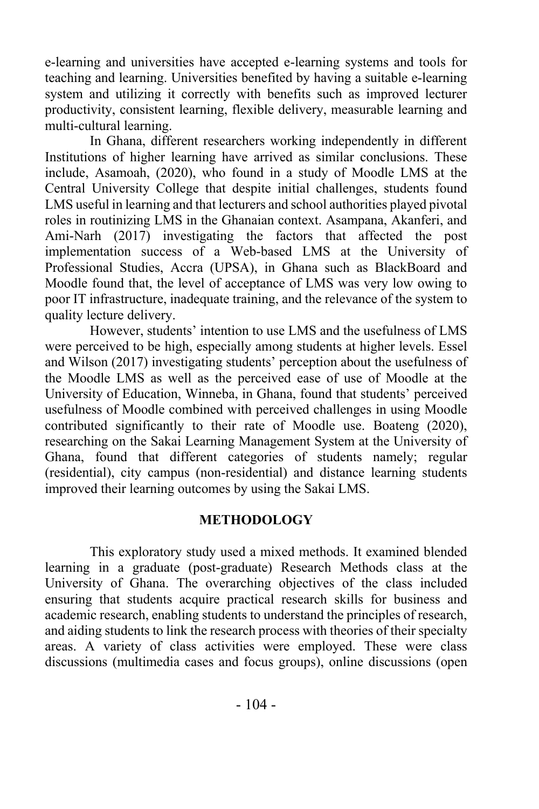e-learning and universities have accepted e-learning systems and tools for teaching and learning. Universities benefited by having a suitable e-learning system and utilizing it correctly with benefits such as improved lecturer productivity, consistent learning, flexible delivery, measurable learning and multi-cultural learning.

In Ghana, different researchers working independently in different Institutions of higher learning have arrived as similar conclusions. These include, Asamoah, (2020), who found in a study of Moodle LMS at the Central University College that despite initial challenges, students found LMS useful in learning and that lecturers and school authorities played pivotal roles in routinizing LMS in the Ghanaian context. Asampana, Akanferi, and Ami-Narh (2017) investigating the factors that affected the post implementation success of a Web-based LMS at the University of Professional Studies, Accra (UPSA), in Ghana such as BlackBoard and Moodle found that, the level of acceptance of LMS was very low owing to poor IT infrastructure, inadequate training, and the relevance of the system to quality lecture delivery.

However, students' intention to use LMS and the usefulness of LMS were perceived to be high, especially among students at higher levels. Essel and Wilson (2017) investigating students' perception about the usefulness of the Moodle LMS as well as the perceived ease of use of Moodle at the University of Education, Winneba, in Ghana, found that students' perceived usefulness of Moodle combined with perceived challenges in using Moodle contributed significantly to their rate of Moodle use. Boateng (2020), researching on the Sakai Learning Management System at the University of Ghana, found that different categories of students namely; regular (residential), city campus (non-residential) and distance learning students improved their learning outcomes by using the Sakai LMS.

#### **METHODOLOGY**

This exploratory study used a mixed methods. It examined blended learning in a graduate (post-graduate) Research Methods class at the University of Ghana. The overarching objectives of the class included ensuring that students acquire practical research skills for business and academic research, enabling students to understand the principles of research, and aiding students to link the research process with theories of their specialty areas. A variety of class activities were employed. These were class discussions (multimedia cases and focus groups), online discussions (open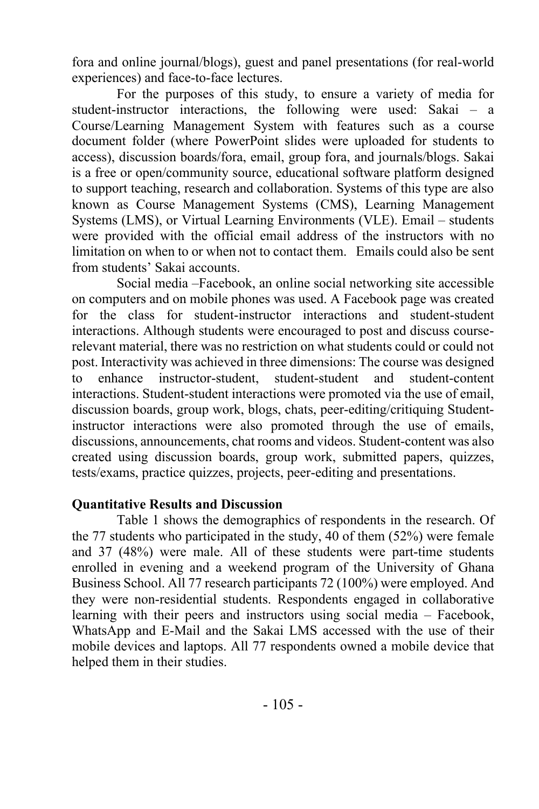fora and online journal/blogs), guest and panel presentations (for real-world experiences) and face-to-face lectures.

For the purposes of this study, to ensure a variety of media for student-instructor interactions, the following were used: Sakai – a Course/Learning Management System with features such as a course document folder (where PowerPoint slides were uploaded for students to access), discussion boards/fora, email, group fora, and journals/blogs. Sakai is a free or open/community source, educational software platform designed to support teaching, research and collaboration. Systems of this type are also known as Course Management Systems (CMS), Learning Management Systems (LMS), or Virtual Learning Environments (VLE). Email – students were provided with the official email address of the instructors with no limitation on when to or when not to contact them. Emails could also be sent from students' Sakai accounts.

Social media –Facebook, an online social networking site accessible on computers and on mobile phones was used. A Facebook page was created for the class for student-instructor interactions and student-student interactions. Although students were encouraged to post and discuss courserelevant material, there was no restriction on what students could or could not post. Interactivity was achieved in three dimensions: The course was designed to enhance instructor-student, student-student and student-content interactions. Student-student interactions were promoted via the use of email, discussion boards, group work, blogs, chats, peer-editing/critiquing Studentinstructor interactions were also promoted through the use of emails, discussions, announcements, chat rooms and videos. Student-content was also created using discussion boards, group work, submitted papers, quizzes, tests/exams, practice quizzes, projects, peer-editing and presentations.

#### **Quantitative Results and Discussion**

Table 1 shows the demographics of respondents in the research. Of the 77 students who participated in the study, 40 of them (52%) were female and 37 (48%) were male. All of these students were part-time students enrolled in evening and a weekend program of the University of Ghana Business School. All 77 research participants 72 (100%) were employed. And they were non-residential students. Respondents engaged in collaborative learning with their peers and instructors using social media – Facebook, WhatsApp and E-Mail and the Sakai LMS accessed with the use of their mobile devices and laptops. All 77 respondents owned a mobile device that helped them in their studies.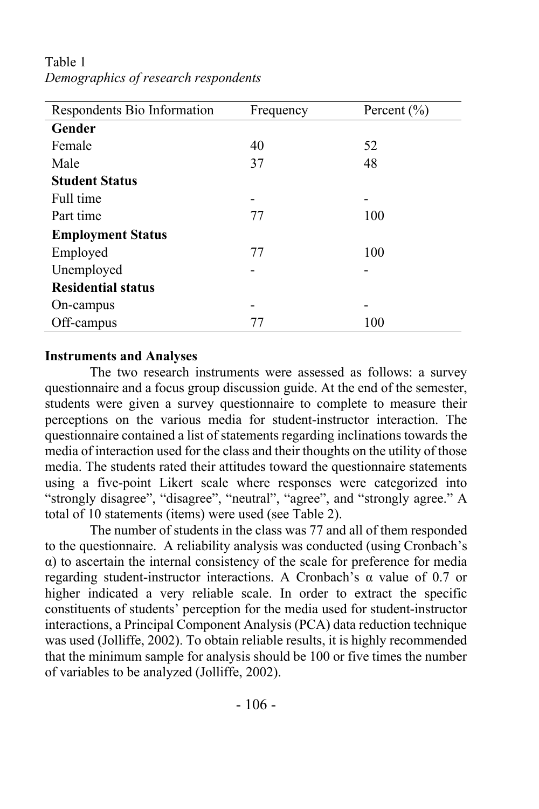| Respondents Bio Information | Frequency | Percent $(\% )$ |
|-----------------------------|-----------|-----------------|
| Gender                      |           |                 |
| Female                      | 40        | 52              |
| Male                        | 37        | 48              |
| <b>Student Status</b>       |           |                 |
| Full time                   |           | -               |
| Part time                   | 77        | 100             |
| <b>Employment Status</b>    |           |                 |
| Employed                    | 77        | 100             |
| Unemployed                  |           |                 |
| <b>Residential status</b>   |           |                 |
| On-campus                   |           | -               |
| Off-campus                  | 77        | 100             |

Table 1 *Demographics of research respondents*

#### **Instruments and Analyses**

The two research instruments were assessed as follows: a survey questionnaire and a focus group discussion guide. At the end of the semester, students were given a survey questionnaire to complete to measure their perceptions on the various media for student-instructor interaction. The questionnaire contained a list of statements regarding inclinations towards the media of interaction used for the class and their thoughts on the utility of those media. The students rated their attitudes toward the questionnaire statements using a five-point Likert scale where responses were categorized into "strongly disagree", "disagree", "neutral", "agree", and "strongly agree." A total of 10 statements (items) were used (see Table 2).

The number of students in the class was 77 and all of them responded to the questionnaire. A reliability analysis was conducted (using Cronbach's α) to ascertain the internal consistency of the scale for preference for media regarding student-instructor interactions. A Cronbach's α value of 0.7 or higher indicated a very reliable scale. In order to extract the specific constituents of students' perception for the media used for student-instructor interactions, a Principal Component Analysis (PCA) data reduction technique was used (Jolliffe, 2002). To obtain reliable results, it is highly recommended that the minimum sample for analysis should be 100 or five times the number of variables to be analyzed (Jolliffe, 2002).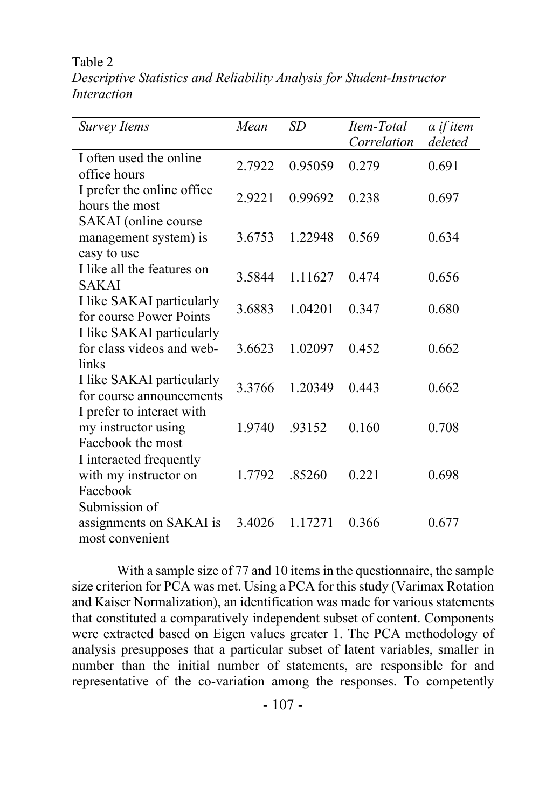Table 2

*Descriptive Statistics and Reliability Analysis for Student-Instructor Interaction*

| <b>Survey Items</b>                                                   | Mean   | SD      | Item-Total<br>Correlation | $\alpha$ if item<br>deleted |
|-----------------------------------------------------------------------|--------|---------|---------------------------|-----------------------------|
| I often used the online<br>office hours                               | 2.7922 | 0.95059 | 0.279                     | 0.691                       |
| I prefer the online office<br>hours the most                          | 2.9221 | 0.99692 | 0.238                     | 0.697                       |
| SAKAI (online course<br>management system) is<br>easy to use          | 3.6753 | 1.22948 | 0.569                     | 0.634                       |
| I like all the features on<br><b>SAKAI</b>                            | 3.5844 | 1.11627 | 0.474                     | 0.656                       |
| I like SAKAI particularly<br>for course Power Points                  | 3.6883 | 1.04201 | 0.347                     | 0.680                       |
| I like SAKAI particularly<br>for class videos and web-<br>links       | 3.6623 | 1.02097 | 0.452                     | 0.662                       |
| I like SAKAI particularly<br>for course announcements                 | 3.3766 | 1.20349 | 0.443                     | 0.662                       |
| I prefer to interact with<br>my instructor using<br>Facebook the most | 1.9740 | .93152  | 0.160                     | 0.708                       |
| I interacted frequently<br>with my instructor on<br>Facebook          | 1.7792 | .85260  | 0.221                     | 0.698                       |
| Submission of<br>assignments on SAKAI is<br>most convenient           | 3.4026 | 1.17271 | 0.366                     | 0.677                       |

With a sample size of 77 and 10 items in the questionnaire, the sample size criterion for PCA was met. Using a PCA for this study (Varimax Rotation and Kaiser Normalization), an identification was made for various statements that constituted a comparatively independent subset of content. Components were extracted based on Eigen values greater 1. The PCA methodology of analysis presupposes that a particular subset of latent variables, smaller in number than the initial number of statements, are responsible for and representative of the co-variation among the responses. To competently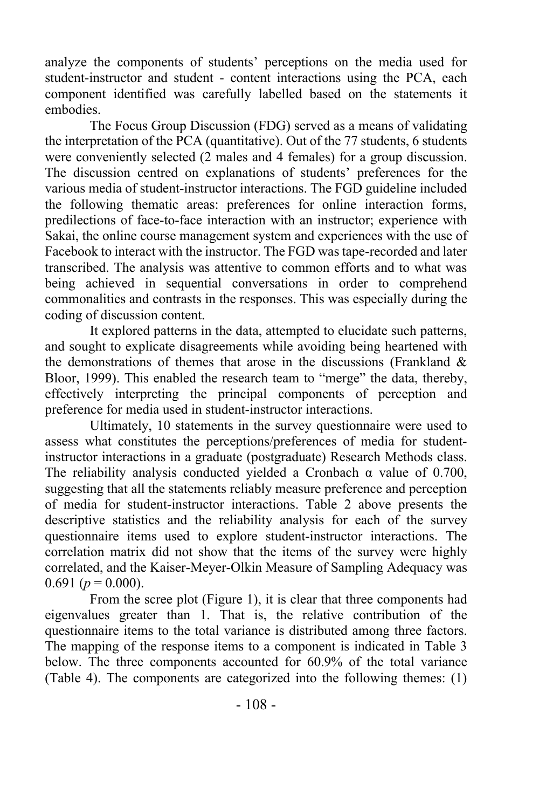analyze the components of students' perceptions on the media used for student-instructor and student - content interactions using the PCA, each component identified was carefully labelled based on the statements it embodies.

The Focus Group Discussion (FDG) served as a means of validating the interpretation of the PCA (quantitative). Out of the 77 students, 6 students were conveniently selected (2 males and 4 females) for a group discussion. The discussion centred on explanations of students' preferences for the various media of student-instructor interactions. The FGD guideline included the following thematic areas: preferences for online interaction forms, predilections of face-to-face interaction with an instructor; experience with Sakai, the online course management system and experiences with the use of Facebook to interact with the instructor. The FGD was tape-recorded and later transcribed. The analysis was attentive to common efforts and to what was being achieved in sequential conversations in order to comprehend commonalities and contrasts in the responses. This was especially during the coding of discussion content.

It explored patterns in the data, attempted to elucidate such patterns, and sought to explicate disagreements while avoiding being heartened with the demonstrations of themes that arose in the discussions (Frankland  $\&$ Bloor, 1999). This enabled the research team to "merge" the data, thereby, effectively interpreting the principal components of perception and preference for media used in student-instructor interactions.

Ultimately, 10 statements in the survey questionnaire were used to assess what constitutes the perceptions/preferences of media for studentinstructor interactions in a graduate (postgraduate) Research Methods class. The reliability analysis conducted yielded a Cronbach  $\alpha$  value of 0.700, suggesting that all the statements reliably measure preference and perception of media for student-instructor interactions. Table 2 above presents the descriptive statistics and the reliability analysis for each of the survey questionnaire items used to explore student-instructor interactions. The correlation matrix did not show that the items of the survey were highly correlated, and the Kaiser-Meyer-Olkin Measure of Sampling Adequacy was 0.691 ( $p = 0.000$ ).

From the scree plot (Figure 1), it is clear that three components had eigenvalues greater than 1. That is, the relative contribution of the questionnaire items to the total variance is distributed among three factors. The mapping of the response items to a component is indicated in Table 3 below. The three components accounted for 60.9% of the total variance (Table 4). The components are categorized into the following themes: (1)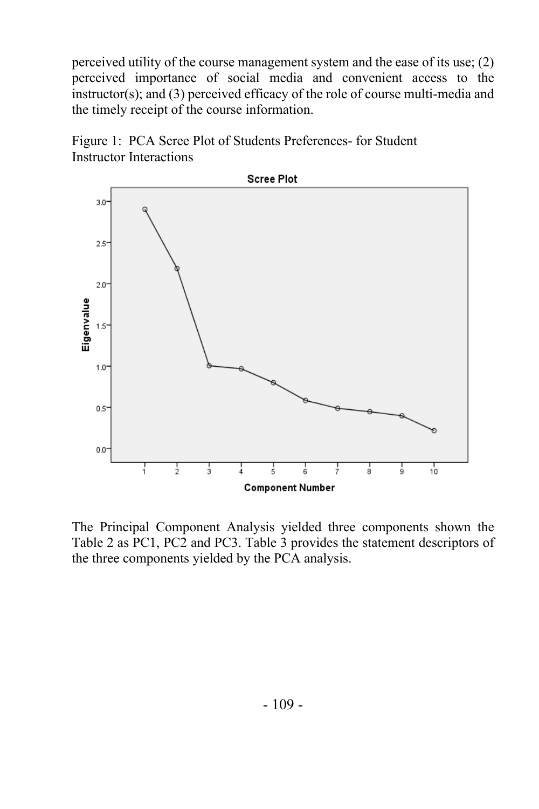perceived utility of the course management system and the ease of its use; (2) perceived importance of social media and convenient access to the instructor(s); and (3) perceived efficacy of the role of course multi-media and the timely receipt of the course information.





The Principal Component Analysis yielded three components shown the Table 2 as PC1, PC2 and PC3. Table 3 provides the statement descriptors of the three components yielded by the PCA analysis.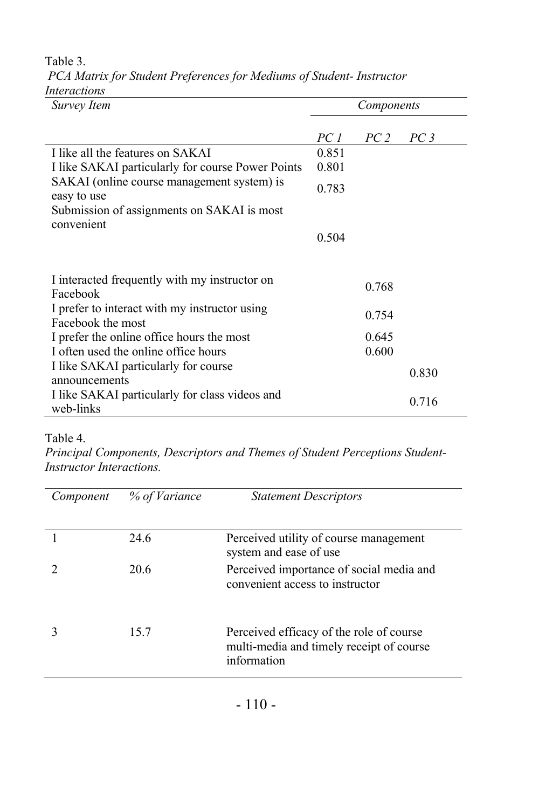| Survey Item                                                        | Components |                 |                 |
|--------------------------------------------------------------------|------------|-----------------|-----------------|
|                                                                    | PC 1       | PC <sub>2</sub> | PC <sub>3</sub> |
| I like all the features on SAKAI                                   | 0.851      |                 |                 |
| I like SAKAI particularly for course Power Points                  | 0.801      |                 |                 |
| SAKAI (online course management system) is<br>easy to use          | 0.783      |                 |                 |
| Submission of assignments on SAKAI is most                         |            |                 |                 |
| convenient                                                         | 0.504      |                 |                 |
| I interacted frequently with my instructor on<br>Facebook          |            | 0.768           |                 |
| I prefer to interact with my instructor using<br>Facebook the most |            | 0.754           |                 |
| I prefer the online office hours the most                          |            | 0.645           |                 |
| I often used the online office hours                               |            | 0.600           |                 |
| I like SAKAI particularly for course<br>announcements              |            |                 | 0.830           |
| I like SAKAI particularly for class videos and<br>web-links        |            |                 | 0.716           |

Table 3. *PCA Matrix for Student Preferences for Mediums of Student- Instructor Interactions*

# Table 4.

*Principal Components, Descriptors and Themes of Student Perceptions Student-Instructor Interactions.*

| Component | % of Variance | <b>Statement Descriptors</b>                                                                        |
|-----------|---------------|-----------------------------------------------------------------------------------------------------|
|           | 24.6          | Perceived utility of course management<br>system and ease of use                                    |
|           | 20.6          | Perceived importance of social media and<br>convenient access to instructor                         |
|           | 15.7          | Perceived efficacy of the role of course<br>multi-media and timely receipt of course<br>information |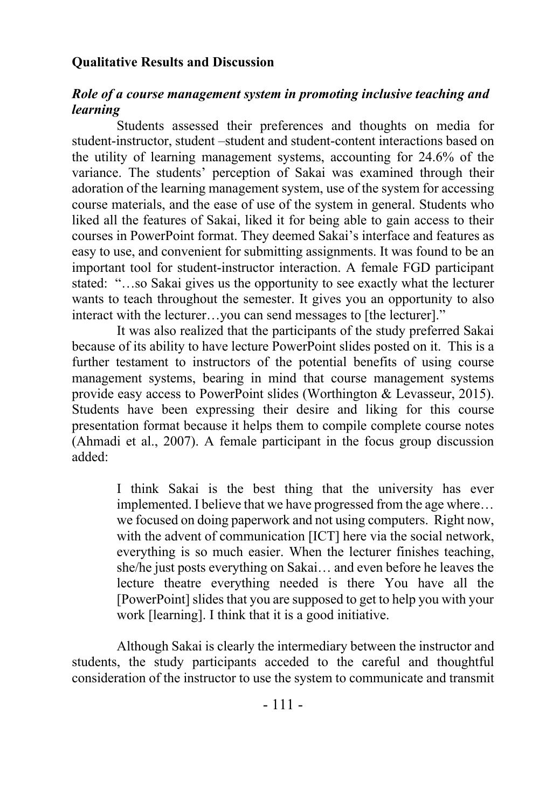#### **Qualitative Results and Discussion**

## *Role of a course management system in promoting inclusive teaching and learning*

Students assessed their preferences and thoughts on media for student-instructor, student –student and student-content interactions based on the utility of learning management systems, accounting for 24.6% of the variance. The students' perception of Sakai was examined through their adoration of the learning management system, use of the system for accessing course materials, and the ease of use of the system in general. Students who liked all the features of Sakai, liked it for being able to gain access to their courses in PowerPoint format. They deemed Sakai's interface and features as easy to use, and convenient for submitting assignments. It was found to be an important tool for student-instructor interaction. A female FGD participant stated: "…so Sakai gives us the opportunity to see exactly what the lecturer wants to teach throughout the semester. It gives you an opportunity to also interact with the lecturer…you can send messages to [the lecturer]."

It was also realized that the participants of the study preferred Sakai because of its ability to have lecture PowerPoint slides posted on it. This is a further testament to instructors of the potential benefits of using course management systems, bearing in mind that course management systems provide easy access to PowerPoint slides (Worthington & Levasseur, 2015). Students have been expressing their desire and liking for this course presentation format because it helps them to compile complete course notes (Ahmadi et al., 2007). A female participant in the focus group discussion added:

> I think Sakai is the best thing that the university has ever implemented. I believe that we have progressed from the age where… we focused on doing paperwork and not using computers. Right now, with the advent of communication [ICT] here via the social network, everything is so much easier. When the lecturer finishes teaching, she/he just posts everything on Sakai… and even before he leaves the lecture theatre everything needed is there You have all the [PowerPoint] slides that you are supposed to get to help you with your work [learning]. I think that it is a good initiative.

Although Sakai is clearly the intermediary between the instructor and students, the study participants acceded to the careful and thoughtful consideration of the instructor to use the system to communicate and transmit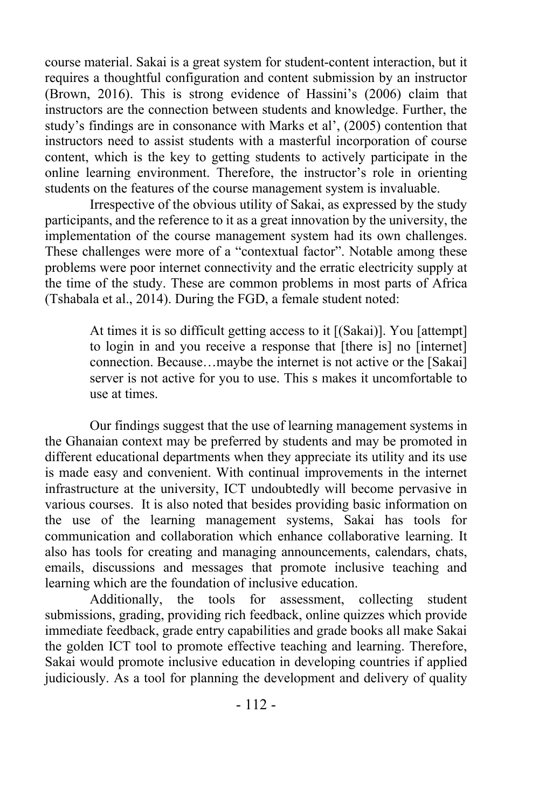course material. Sakai is a great system for student-content interaction, but it requires a thoughtful configuration and content submission by an instructor (Brown, 2016). This is strong evidence of Hassini's (2006) claim that instructors are the connection between students and knowledge. Further, the study's findings are in consonance with Marks et al', (2005) contention that instructors need to assist students with a masterful incorporation of course content, which is the key to getting students to actively participate in the online learning environment. Therefore, the instructor's role in orienting students on the features of the course management system is invaluable.

Irrespective of the obvious utility of Sakai, as expressed by the study participants, and the reference to it as a great innovation by the university, the implementation of the course management system had its own challenges. These challenges were more of a "contextual factor". Notable among these problems were poor internet connectivity and the erratic electricity supply at the time of the study. These are common problems in most parts of Africa (Tshabala et al., 2014). During the FGD, a female student noted:

> At times it is so difficult getting access to it [(Sakai)]. You [attempt] to login in and you receive a response that [there is] no [internet] connection. Because…maybe the internet is not active or the [Sakai] server is not active for you to use. This s makes it uncomfortable to use at times.

Our findings suggest that the use of learning management systems in the Ghanaian context may be preferred by students and may be promoted in different educational departments when they appreciate its utility and its use is made easy and convenient. With continual improvements in the internet infrastructure at the university, ICT undoubtedly will become pervasive in various courses. It is also noted that besides providing basic information on the use of the learning management systems, Sakai has tools for communication and collaboration which enhance collaborative learning. It also has tools for creating and managing announcements, calendars, chats, emails, discussions and messages that promote inclusive teaching and learning which are the foundation of inclusive education.

Additionally, the tools for assessment, collecting student submissions, grading, providing rich feedback, online quizzes which provide immediate feedback, grade entry capabilities and grade books all make Sakai the golden ICT tool to promote effective teaching and learning. Therefore, Sakai would promote inclusive education in developing countries if applied judiciously. As a tool for planning the development and delivery of quality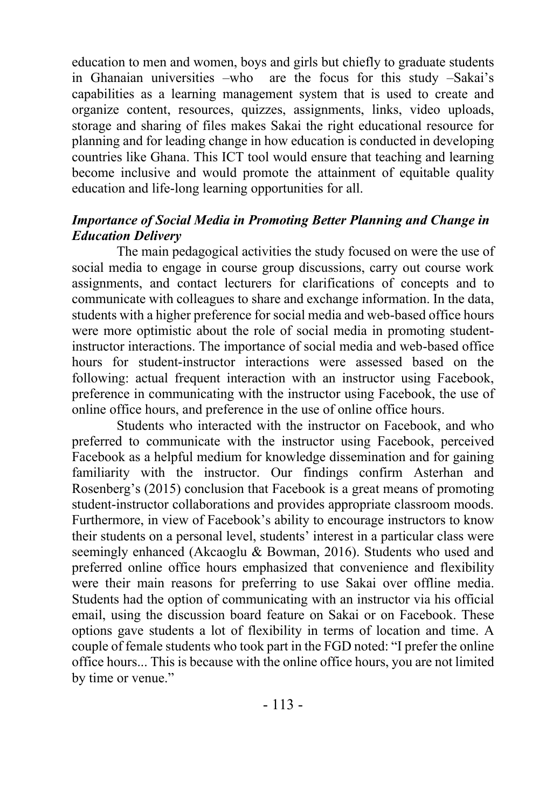education to men and women, boys and girls but chiefly to graduate students in Ghanaian universities –who are the focus for this study –Sakai's capabilities as a learning management system that is used to create and organize content, resources, quizzes, assignments, links, video uploads, storage and sharing of files makes Sakai the right educational resource for planning and for leading change in how education is conducted in developing countries like Ghana. This ICT tool would ensure that teaching and learning become inclusive and would promote the attainment of equitable quality education and life-long learning opportunities for all.

## *Importance of Social Media in Promoting Better Planning and Change in Education Delivery*

The main pedagogical activities the study focused on were the use of social media to engage in course group discussions, carry out course work assignments, and contact lecturers for clarifications of concepts and to communicate with colleagues to share and exchange information. In the data, students with a higher preference for social media and web-based office hours were more optimistic about the role of social media in promoting studentinstructor interactions. The importance of social media and web-based office hours for student-instructor interactions were assessed based on the following: actual frequent interaction with an instructor using Facebook, preference in communicating with the instructor using Facebook, the use of online office hours, and preference in the use of online office hours.

Students who interacted with the instructor on Facebook, and who preferred to communicate with the instructor using Facebook, perceived Facebook as a helpful medium for knowledge dissemination and for gaining familiarity with the instructor. Our findings confirm Asterhan and Rosenberg's (2015) conclusion that Facebook is a great means of promoting student-instructor collaborations and provides appropriate classroom moods. Furthermore, in view of Facebook's ability to encourage instructors to know their students on a personal level, students' interest in a particular class were seemingly enhanced (Akcaoglu & Bowman, 2016). Students who used and preferred online office hours emphasized that convenience and flexibility were their main reasons for preferring to use Sakai over offline media. Students had the option of communicating with an instructor via his official email, using the discussion board feature on Sakai or on Facebook. These options gave students a lot of flexibility in terms of location and time. A couple of female students who took part in the FGD noted: "I prefer the online office hours... This is because with the online office hours, you are not limited by time or venue."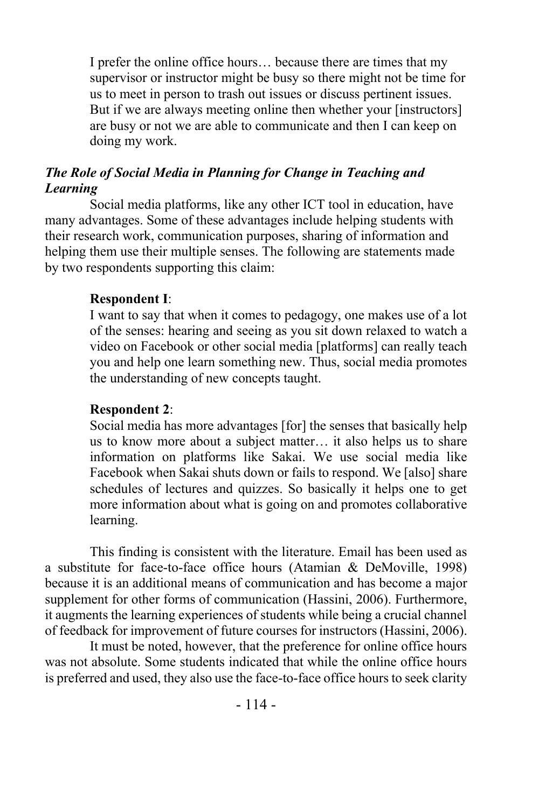I prefer the online office hours… because there are times that my supervisor or instructor might be busy so there might not be time for us to meet in person to trash out issues or discuss pertinent issues. But if we are always meeting online then whether your [instructors] are busy or not we are able to communicate and then I can keep on doing my work.

# *The Role of Social Media in Planning for Change in Teaching and Learning*

Social media platforms, like any other ICT tool in education, have many advantages. Some of these advantages include helping students with their research work, communication purposes, sharing of information and helping them use their multiple senses. The following are statements made by two respondents supporting this claim:

## **Respondent I**:

I want to say that when it comes to pedagogy, one makes use of a lot of the senses: hearing and seeing as you sit down relaxed to watch a video on Facebook or other social media [platforms] can really teach you and help one learn something new. Thus, social media promotes the understanding of new concepts taught.

## **Respondent 2**:

Social media has more advantages [for] the senses that basically help us to know more about a subject matter… it also helps us to share information on platforms like Sakai. We use social media like Facebook when Sakai shuts down or fails to respond. We [also] share schedules of lectures and quizzes. So basically it helps one to get more information about what is going on and promotes collaborative learning.

This finding is consistent with the literature. Email has been used as a substitute for face-to-face office hours (Atamian & DeMoville, 1998) because it is an additional means of communication and has become a major supplement for other forms of communication (Hassini, 2006). Furthermore, it augments the learning experiences of students while being a crucial channel of feedback for improvement of future courses for instructors (Hassini, 2006).

It must be noted, however, that the preference for online office hours was not absolute. Some students indicated that while the online office hours is preferred and used, they also use the face-to-face office hours to seek clarity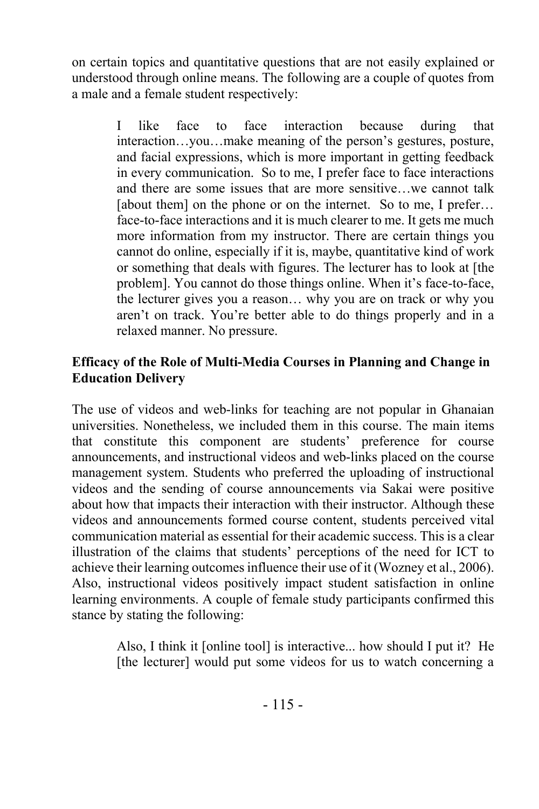on certain topics and quantitative questions that are not easily explained or understood through online means. The following are a couple of quotes from a male and a female student respectively:

> I like face to face interaction because during that interaction…you…make meaning of the person's gestures, posture, and facial expressions, which is more important in getting feedback in every communication. So to me, I prefer face to face interactions and there are some issues that are more sensitive…we cannot talk [about them] on the phone or on the internet. So to me, I prefer... face-to-face interactions and it is much clearer to me. It gets me much more information from my instructor. There are certain things you cannot do online, especially if it is, maybe, quantitative kind of work or something that deals with figures. The lecturer has to look at [the problem]. You cannot do those things online. When it's face-to-face, the lecturer gives you a reason… why you are on track or why you aren't on track. You're better able to do things properly and in a relaxed manner. No pressure.

## **Efficacy of the Role of Multi-Media Courses in Planning and Change in Education Delivery**

The use of videos and web-links for teaching are not popular in Ghanaian universities. Nonetheless, we included them in this course. The main items that constitute this component are students' preference for course announcements, and instructional videos and web-links placed on the course management system. Students who preferred the uploading of instructional videos and the sending of course announcements via Sakai were positive about how that impacts their interaction with their instructor. Although these videos and announcements formed course content, students perceived vital communication material as essential for their academic success. This is a clear illustration of the claims that students' perceptions of the need for ICT to achieve their learning outcomes influence their use of it (Wozney et al., 2006). Also, instructional videos positively impact student satisfaction in online learning environments. A couple of female study participants confirmed this stance by stating the following:

> Also, I think it [online tool] is interactive... how should I put it? He [the lecturer] would put some videos for us to watch concerning a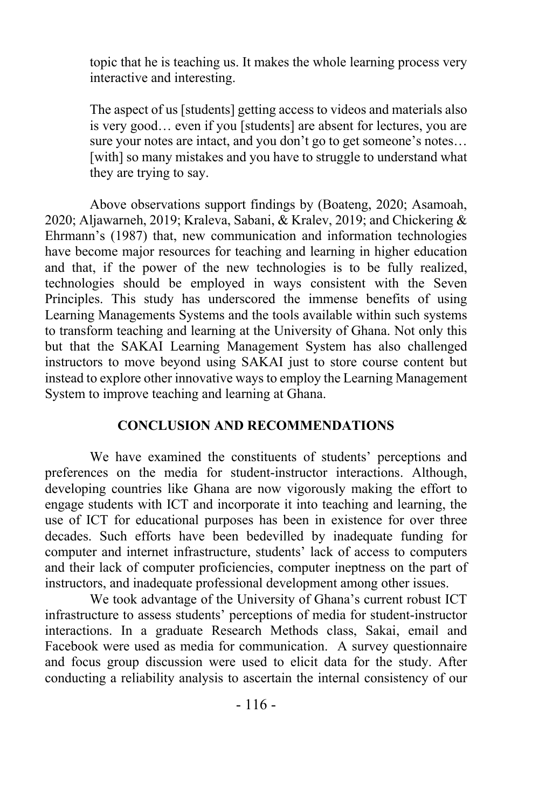topic that he is teaching us. It makes the whole learning process very interactive and interesting.

The aspect of us [students] getting access to videos and materials also is very good… even if you [students] are absent for lectures, you are sure your notes are intact, and you don't go to get someone's notes… [with] so many mistakes and you have to struggle to understand what they are trying to say.

Above observations support findings by (Boateng, 2020; Asamoah, 2020; Aljawarneh, 2019; Kraleva, Sabani, & Kralev, 2019; and Chickering & Ehrmann's (1987) that, new communication and information technologies have become major resources for teaching and learning in higher education and that, if the power of the new technologies is to be fully realized, technologies should be employed in ways consistent with the Seven Principles. This study has underscored the immense benefits of using Learning Managements Systems and the tools available within such systems to transform teaching and learning at the University of Ghana. Not only this but that the SAKAI Learning Management System has also challenged instructors to move beyond using SAKAI just to store course content but instead to explore other innovative ways to employ the Learning Management System to improve teaching and learning at Ghana.

## **CONCLUSION AND RECOMMENDATIONS**

We have examined the constituents of students' perceptions and preferences on the media for student-instructor interactions. Although, developing countries like Ghana are now vigorously making the effort to engage students with ICT and incorporate it into teaching and learning, the use of ICT for educational purposes has been in existence for over three decades. Such efforts have been bedevilled by inadequate funding for computer and internet infrastructure, students' lack of access to computers and their lack of computer proficiencies, computer ineptness on the part of instructors, and inadequate professional development among other issues.

We took advantage of the University of Ghana's current robust ICT infrastructure to assess students' perceptions of media for student-instructor interactions. In a graduate Research Methods class, Sakai, email and Facebook were used as media for communication. A survey questionnaire and focus group discussion were used to elicit data for the study. After conducting a reliability analysis to ascertain the internal consistency of our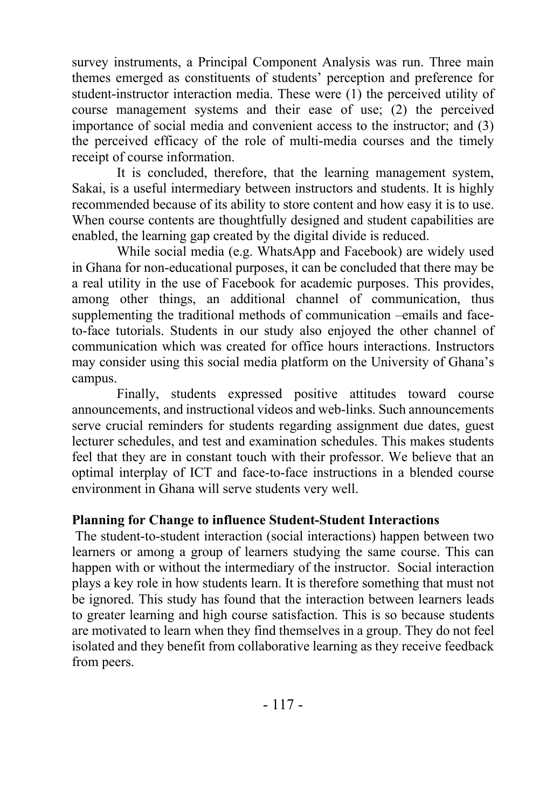survey instruments, a Principal Component Analysis was run. Three main themes emerged as constituents of students' perception and preference for student-instructor interaction media. These were (1) the perceived utility of course management systems and their ease of use; (2) the perceived importance of social media and convenient access to the instructor; and (3) the perceived efficacy of the role of multi-media courses and the timely receipt of course information.

It is concluded, therefore, that the learning management system, Sakai, is a useful intermediary between instructors and students. It is highly recommended because of its ability to store content and how easy it is to use. When course contents are thoughtfully designed and student capabilities are enabled, the learning gap created by the digital divide is reduced.

While social media (e.g. WhatsApp and Facebook) are widely used in Ghana for non-educational purposes, it can be concluded that there may be a real utility in the use of Facebook for academic purposes. This provides, among other things, an additional channel of communication, thus supplementing the traditional methods of communication –emails and faceto-face tutorials. Students in our study also enjoyed the other channel of communication which was created for office hours interactions. Instructors may consider using this social media platform on the University of Ghana's campus.

Finally, students expressed positive attitudes toward course announcements, and instructional videos and web-links. Such announcements serve crucial reminders for students regarding assignment due dates, guest lecturer schedules, and test and examination schedules. This makes students feel that they are in constant touch with their professor. We believe that an optimal interplay of ICT and face-to-face instructions in a blended course environment in Ghana will serve students very well.

## **Planning for Change to influence Student-Student Interactions**

The student-to-student interaction (social interactions) happen between two learners or among a group of learners studying the same course. This can happen with or without the intermediary of the instructor. Social interaction plays a key role in how students learn. It is therefore something that must not be ignored. This study has found that the interaction between learners leads to greater learning and high course satisfaction. This is so because students are motivated to learn when they find themselves in a group. They do not feel isolated and they benefit from collaborative learning as they receive feedback from peers.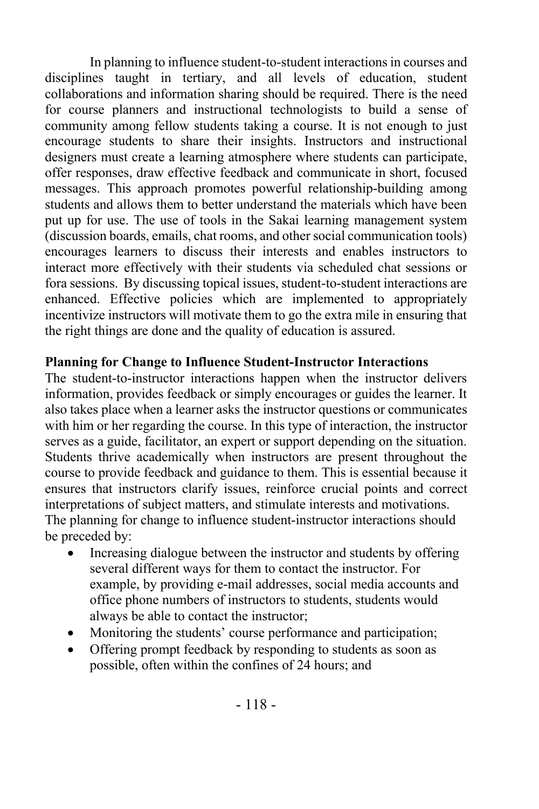In planning to influence student-to-student interactions in courses and disciplines taught in tertiary, and all levels of education, student collaborations and information sharing should be required. There is the need for course planners and instructional technologists to build a sense of community among fellow students taking a course. It is not enough to just encourage students to share their insights. Instructors and instructional designers must create a learning atmosphere where students can participate, offer responses, draw effective feedback and communicate in short, focused messages. This approach promotes powerful relationship-building among students and allows them to better understand the materials which have been put up for use. The use of tools in the Sakai learning management system (discussion boards, emails, chat rooms, and other social communication tools) encourages learners to discuss their interests and enables instructors to interact more effectively with their students via scheduled chat sessions or fora sessions. By discussing topical issues, student-to-student interactions are enhanced. Effective policies which are implemented to appropriately incentivize instructors will motivate them to go the extra mile in ensuring that the right things are done and the quality of education is assured.

## **Planning for Change to Influence Student-Instructor Interactions**

The student-to-instructor interactions happen when the instructor delivers information, provides feedback or simply encourages or guides the learner. It also takes place when a learner asks the instructor questions or communicates with him or her regarding the course. In this type of interaction, the instructor serves as a guide, facilitator, an expert or support depending on the situation. Students thrive academically when instructors are present throughout the course to provide feedback and guidance to them. This is essential because it ensures that instructors clarify issues, reinforce crucial points and correct interpretations of subject matters, and stimulate interests and motivations. The planning for change to influence student-instructor interactions should be preceded by:

- Increasing dialogue between the instructor and students by offering several different ways for them to contact the instructor. For example, by providing e-mail addresses, social media accounts and office phone numbers of instructors to students, students would always be able to contact the instructor;
- Monitoring the students' course performance and participation;
- Offering prompt feedback by responding to students as soon as possible, often within the confines of 24 hours; and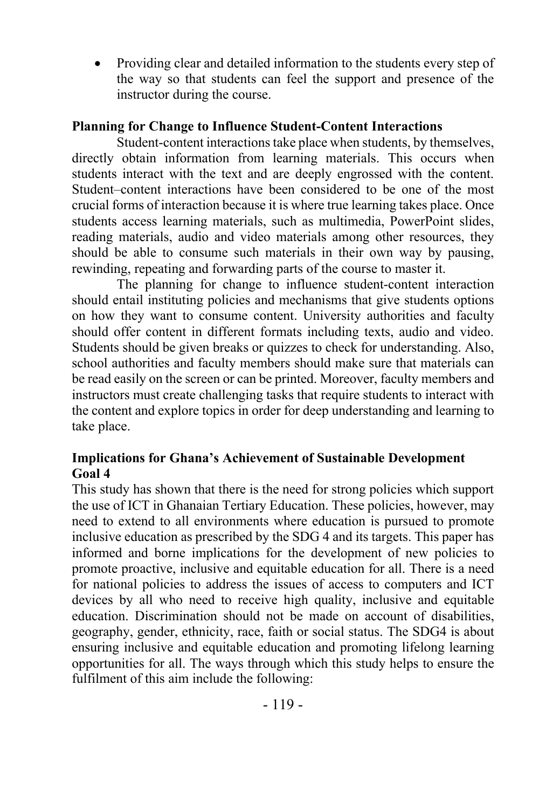• Providing clear and detailed information to the students every step of the way so that students can feel the support and presence of the instructor during the course.

## **Planning for Change to Influence Student-Content Interactions**

Student-content interactions take place when students, by themselves, directly obtain information from learning materials. This occurs when students interact with the text and are deeply engrossed with the content. Student–content interactions have been considered to be one of the most crucial forms of interaction because it is where true learning takes place. Once students access learning materials, such as multimedia, PowerPoint slides, reading materials, audio and video materials among other resources, they should be able to consume such materials in their own way by pausing, rewinding, repeating and forwarding parts of the course to master it.

The planning for change to influence student-content interaction should entail instituting policies and mechanisms that give students options on how they want to consume content. University authorities and faculty should offer content in different formats including texts, audio and video. Students should be given breaks or quizzes to check for understanding. Also, school authorities and faculty members should make sure that materials can be read easily on the screen or can be printed. Moreover, faculty members and instructors must create challenging tasks that require students to interact with the content and explore topics in order for deep understanding and learning to take place.

# **Implications for Ghana's Achievement of Sustainable Development Goal 4**

This study has shown that there is the need for strong policies which support the use of ICT in Ghanaian Tertiary Education. These policies, however, may need to extend to all environments where education is pursued to promote inclusive education as prescribed by the SDG 4 and its targets. This paper has informed and borne implications for the development of new policies to promote proactive, inclusive and equitable education for all. There is a need for national policies to address the issues of access to computers and ICT devices by all who need to receive high quality, inclusive and equitable education. Discrimination should not be made on account of disabilities, geography, gender, ethnicity, race, faith or social status. The SDG4 is about ensuring inclusive and equitable education and promoting lifelong learning opportunities for all. The ways through which this study helps to ensure the fulfilment of this aim include the following: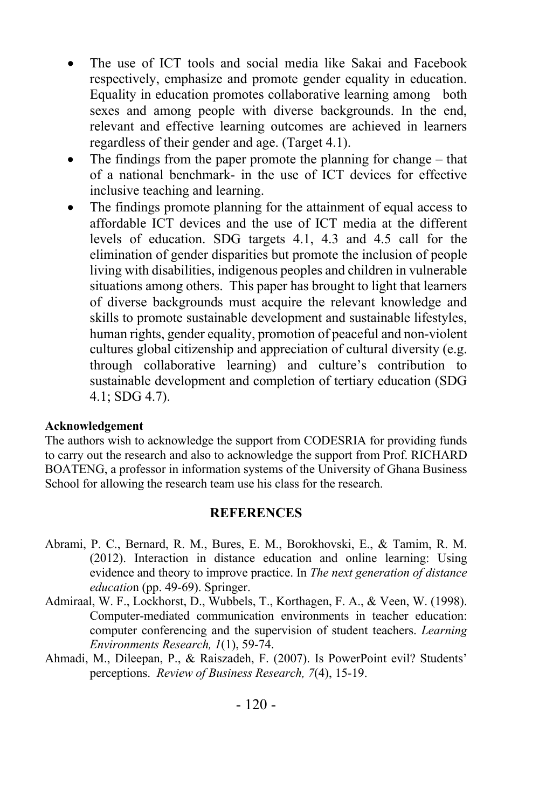- The use of ICT tools and social media like Sakai and Facebook respectively, emphasize and promote gender equality in education. Equality in education promotes collaborative learning among both sexes and among people with diverse backgrounds. In the end, relevant and effective learning outcomes are achieved in learners regardless of their gender and age. (Target 4.1).
- The findings from the paper promote the planning for change that of a national benchmark- in the use of ICT devices for effective inclusive teaching and learning.
- The findings promote planning for the attainment of equal access to affordable ICT devices and the use of ICT media at the different levels of education. SDG targets 4.1, 4.3 and 4.5 call for the elimination of gender disparities but promote the inclusion of people living with disabilities, indigenous peoples and children in vulnerable situations among others. This paper has brought to light that learners of diverse backgrounds must acquire the relevant knowledge and skills to promote sustainable development and sustainable lifestyles, human rights, gender equality, promotion of peaceful and non-violent cultures global citizenship and appreciation of cultural diversity (e.g. through collaborative learning) and culture's contribution to sustainable development and completion of tertiary education (SDG 4.1; SDG 4.7).

#### **Acknowledgement**

The authors wish to acknowledge the support from CODESRIA for providing funds to carry out the research and also to acknowledge the support from Prof. RICHARD BOATENG, a professor in information systems of the University of Ghana Business School for allowing the research team use his class for the research.

#### **REFERENCES**

- Abrami, P. C., Bernard, R. M., Bures, E. M., Borokhovski, E., & Tamim, R. M. (2012). Interaction in distance education and online learning: Using evidence and theory to improve practice. In *The next generation of distance educatio*n (pp. 49-69). Springer.
- Admiraal, W. F., Lockhorst, D., Wubbels, T., Korthagen, F. A., & Veen, W. (1998). Computer-mediated communication environments in teacher education: computer conferencing and the supervision of student teachers. *Learning Environments Research, 1*(1), 59-74.
- Ahmadi, M., Dileepan, P., & Raiszadeh, F. (2007). Is PowerPoint evil? Students' perceptions. *Review of Business Research, 7*(4), 15-19.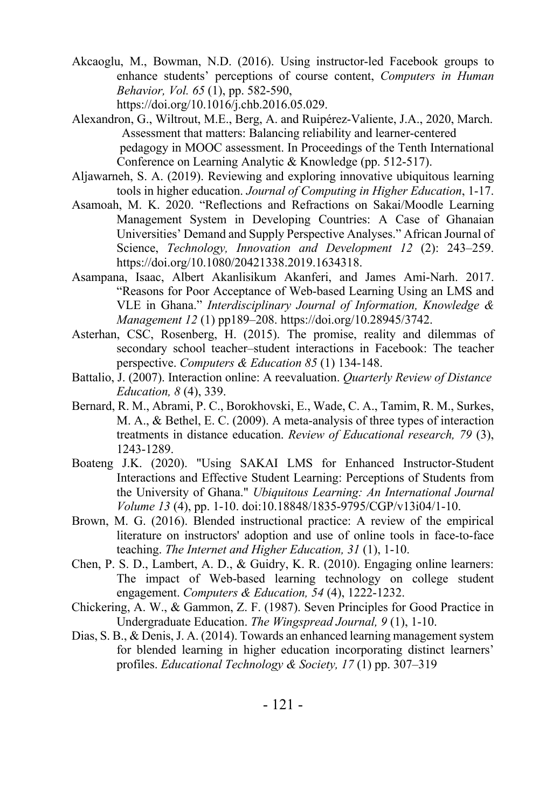- Akcaoglu, M., Bowman, N.D. (2016). Using instructor-led Facebook groups to enhance students' perceptions of course content, *Computers in Human Behavior, Vol. 65* (1), pp. 582-590, https://doi.org/10.1016/j.chb.2016.05.029.
- Alexandron, G., Wiltrout, M.E., Berg, A. and Ruipérez-Valiente, J.A., 2020, March. Assessment that matters: Balancing reliability and learner-centered pedagogy in MOOC assessment. In Proceedings of the Tenth International Conference on Learning Analytic & Knowledge (pp. 512-517).
- Aljawarneh, S. A. (2019). Reviewing and exploring innovative ubiquitous learning tools in higher education. *Journal of Computing in Higher Education*, 1-17.
- Asamoah, M. K. 2020. "Reflections and Refractions on Sakai/Moodle Learning Management System in Developing Countries: A Case of Ghanaian Universities' Demand and Supply Perspective Analyses." African Journal of Science, *Technology, Innovation and Development 12* (2): 243–259. https://doi.org/10.1080/20421338.2019.1634318.
- Asampana, Isaac, Albert Akanlisikum Akanferi, and James Ami-Narh. 2017. "Reasons for Poor Acceptance of Web-based Learning Using an LMS and VLE in Ghana." *Interdisciplinary Journal of Information, Knowledge & Management 12* (1) pp189–208. https://doi.org/10.28945/3742.
- Asterhan, CSC, Rosenberg, H. (2015). The promise, reality and dilemmas of secondary school teacher–student interactions in Facebook: The teacher perspective. *Computers & Education 85* (1) 134-148.
- Battalio, J. (2007). Interaction online: A reevaluation. *Quarterly Review of Distance Education, 8* (4), 339.
- Bernard, R. M., Abrami, P. C., Borokhovski, E., Wade, C. A., Tamim, R. M., Surkes, M. A., & Bethel, E. C. (2009). A meta-analysis of three types of interaction treatments in distance education. *Review of Educational research, 79* (3), 1243-1289.
- Boateng J.K. (2020). "Using SAKAI LMS for Enhanced Instructor-Student Interactions and Effective Student Learning: Perceptions of Students from the University of Ghana." *Ubiquitous Learning: An International Journal Volume 13* (4), pp. 1-10. doi:10.18848/1835-9795/CGP/v13i04/1-10.
- Brown, M. G. (2016). Blended instructional practice: A review of the empirical literature on instructors' adoption and use of online tools in face-to-face teaching. *The Internet and Higher Education, 31* (1), 1-10.
- Chen, P. S. D., Lambert, A. D., & Guidry, K. R. (2010). Engaging online learners: The impact of Web-based learning technology on college student engagement. *Computers & Education, 54* (4), 1222-1232.
- Chickering, A. W., & Gammon, Z. F. (1987). Seven Principles for Good Practice in Undergraduate Education. *The Wingspread Journal, 9* (1), 1-10.
- Dias, S. B., & Denis, J. A. (2014). Towards an enhanced learning management system for blended learning in higher education incorporating distinct learners' profiles. *Educational Technology & Society, 17* (1) pp. 307–319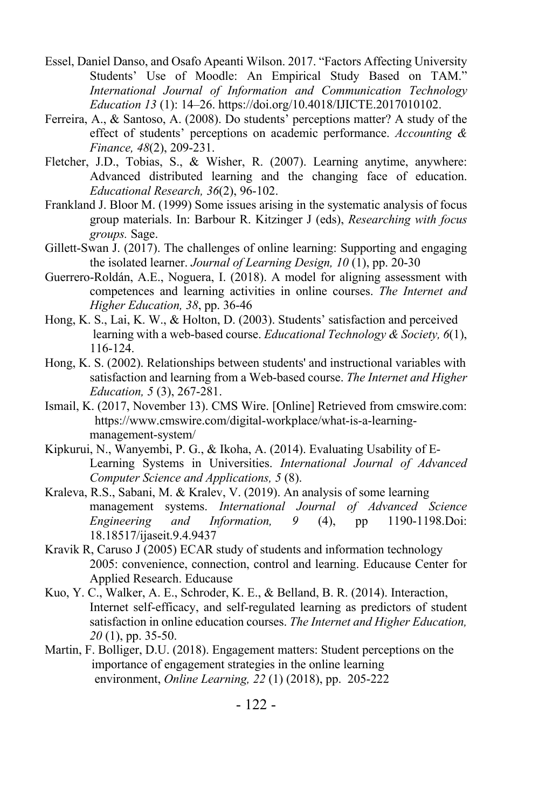- Essel, Daniel Danso, and Osafo Apeanti Wilson. 2017. "Factors Affecting University Students' Use of Moodle: An Empirical Study Based on TAM." *International Journal of Information and Communication Technology Education 13* (1): 14–26. https://doi.org/10.4018/IJICTE.2017010102.
- Ferreira, A., & Santoso, A. (2008). Do students' perceptions matter? A study of the effect of students' perceptions on academic performance. *Accounting & Finance, 48*(2), 209-231.
- Fletcher, J.D., Tobias, S., & Wisher, R. (2007). Learning anytime, anywhere: Advanced distributed learning and the changing face of education. *Educational Research, 36*(2), 96-102.
- Frankland J. Bloor M. (1999) Some issues arising in the systematic analysis of focus group materials. In: Barbour R. Kitzinger J (eds), *Researching with focus groups.* Sage.
- Gillett-Swan J. (2017). The challenges of online learning: Supporting and engaging the isolated learner. *Journal of Learning Design, 10* (1), pp. 20-30
- Guerrero-Roldán, A.E., Noguera, I. (2018). A model for aligning assessment with competences and learning activities in online courses. *The Internet and Higher Education, 38*, pp. 36-46
- Hong, K. S., Lai, K. W., & Holton, D. (2003). Students' satisfaction and perceived learning with a web-based course. *Educational Technology & Society, 6*(1), 116-124.
- Hong, K. S. (2002). Relationships between students' and instructional variables with satisfaction and learning from a Web-based course. *The Internet and Higher Education, 5* (3), 267-281.
- Ismail, K. (2017, November 13). CMS Wire. [Online] Retrieved from cmswire.com: https://www.cmswire.com/digital-workplace/what-is-a-learningmanagement-system/
- Kipkurui, N., Wanyembi, P. G., & Ikoha, A. (2014). Evaluating Usability of E-Learning Systems in Universities. *International Journal of Advanced Computer Science and Applications, 5* (8).
- Kraleva, R.S., Sabani, M. & Kralev, V. (2019). An analysis of some learning management systems. *International Journal of Advanced Science Engineering and Information, 9* (4), pp 1190-1198.Doi: 18.18517/ijaseit.9.4.9437
- Kravik R, Caruso J (2005) ECAR study of students and information technology 2005: convenience, connection, control and learning. Educause Center for Applied Research. Educause
- Kuo, Y. C., Walker, A. E., Schroder, K. E., & Belland, B. R. (2014). Interaction, Internet self-efficacy, and self-regulated learning as predictors of student satisfaction in online education courses. *The Internet and Higher Education, 20* (1), pp. 35-50.
- Martin, F. Bolliger, D.U. (2018). Engagement matters: Student perceptions on the importance of engagement strategies in the online learning environment, *Online Learning, 22* (1) (2018), pp. 205-222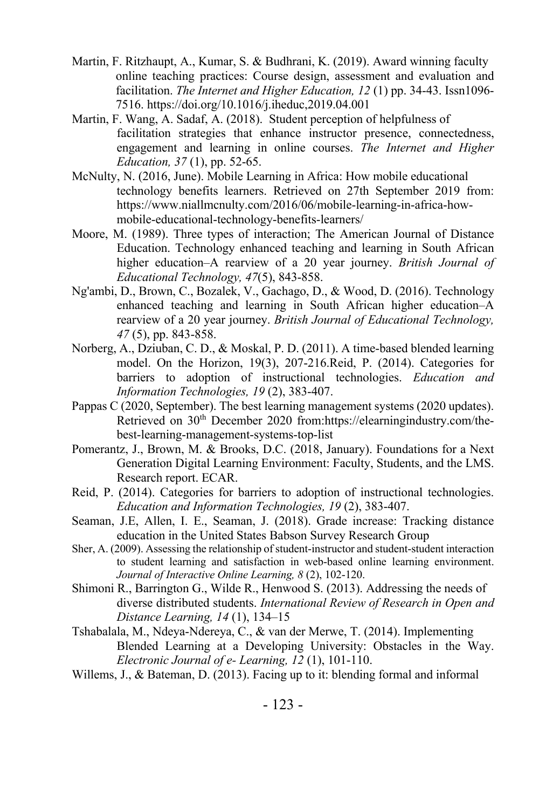- Martin, F. Ritzhaupt, A., Kumar, S. & Budhrani, K. (2019). Award winning faculty online teaching practices: Course design, assessment and evaluation and facilitation. *The Internet and Higher Education, 12* (1) pp. 34-43. Issn1096- 7516. https://doi.org/10.1016/j.iheduc,2019.04.001
- Martin, F. Wang, A. Sadaf, A. (2018). Student perception of helpfulness of facilitation strategies that enhance instructor presence, connectedness, engagement and learning in online courses. *The Internet and Higher Education, 37* (1), pp. 52-65.
- McNulty, N. (2016, June). Mobile Learning in Africa: How mobile educational technology benefits learners. Retrieved on 27th September 2019 from: https://www.niallmcnulty.com/2016/06/mobile-learning-in-africa-howmobile-educational-technology-benefits-learners/
- Moore, M. (1989). Three types of interaction; The American Journal of Distance Education. Technology enhanced teaching and learning in South African higher education–A rearview of a 20 year journey. *British Journal of Educational Technology, 47*(5), 843-858.
- Ng'ambi, D., Brown, C., Bozalek, V., Gachago, D., & Wood, D. (2016). Technology enhanced teaching and learning in South African higher education–A rearview of a 20 year journey. *British Journal of Educational Technology, 47* (5), pp. 843-858.
- Norberg, A., Dziuban, C. D., & Moskal, P. D. (2011). A time-based blended learning model. On the Horizon, 19(3), 207-216.Reid, P. (2014). Categories for barriers to adoption of instructional technologies. *Education and Information Technologies, 19* (2), 383-407.
- Pappas C (2020, September). The best learning management systems (2020 updates). Retrieved on 30th December 2020 from:https://elearningindustry.com/thebest-learning-management-systems-top-list
- Pomerantz, J., Brown, M. & Brooks, D.C. (2018, January). Foundations for a Next Generation Digital Learning Environment: Faculty, Students, and the LMS. Research report. ECAR.
- Reid, P. (2014). Categories for barriers to adoption of instructional technologies. *Education and Information Technologies, 19* (2), 383-407.
- Seaman, J.E, Allen, I. E., Seaman, J. (2018). Grade increase: Tracking distance education in the United States Babson Survey Research Group
- Sher, A. (2009). Assessing the relationship of student-instructor and student-student interaction to student learning and satisfaction in web-based online learning environment. *Journal of Interactive Online Learning, 8* (2), 102-120.
- Shimoni R., Barrington G., Wilde R., Henwood S. (2013). Addressing the needs of diverse distributed students. *International Review of Research in Open and Distance Learning, 14* (1), 134–15
- Tshabalala, M., Ndeya-Ndereya, C., & van der Merwe, T. (2014). Implementing Blended Learning at a Developing University: Obstacles in the Way. *Electronic Journal of e- Learning, 12* (1), 101-110.
- Willems, J., & Bateman, D. (2013). Facing up to it: blending formal and informal